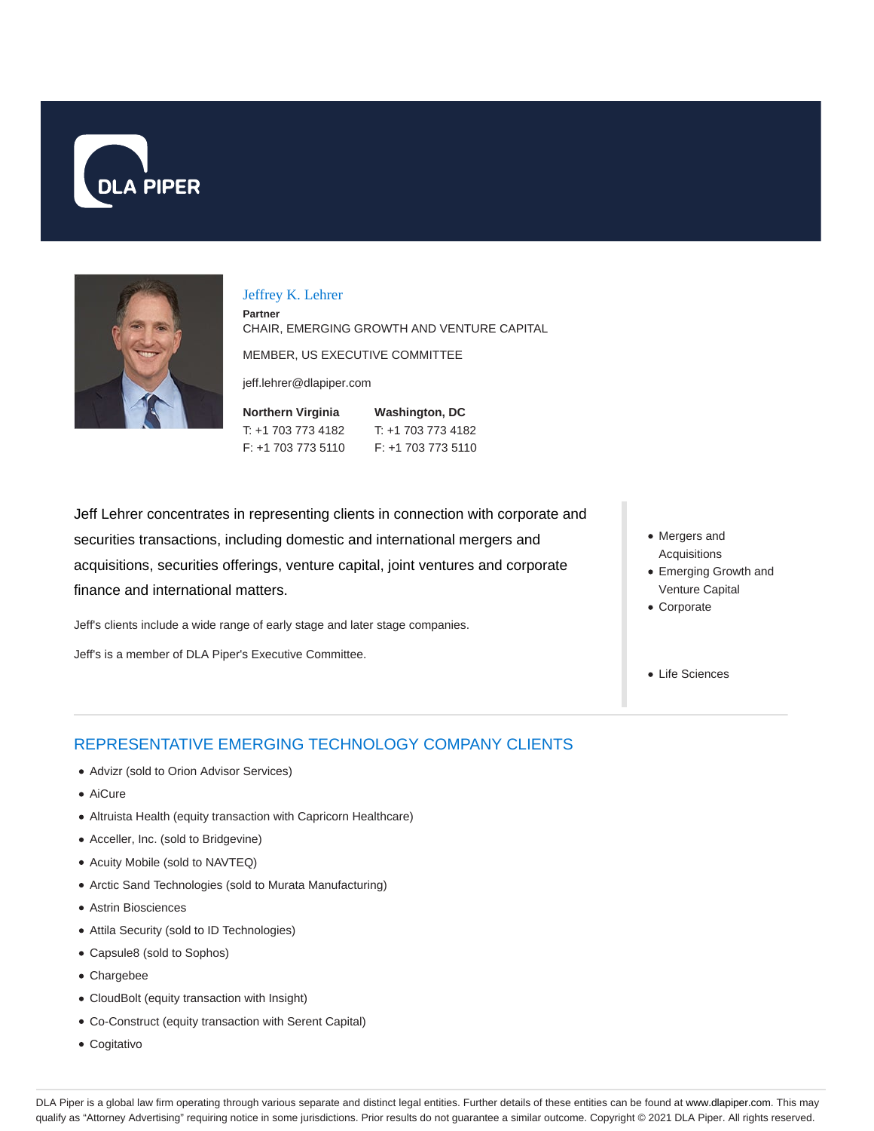



#### Jeffrey K. Lehrer

**Partner** CHAIR, EMERGING GROWTH AND VENTURE CAPITAL

MEMBER, US EXECUTIVE COMMITTEE

jeff.lehrer@dlapiper.com

| Northern Virginia  | <b>Washington, DC</b> |
|--------------------|-----------------------|
| T: +1 703 773 4182 | T: +1 703 773 4182    |
| F: +1 703 773 5110 | $F: +17037735110$     |

Jeff Lehrer concentrates in representing clients in connection with corporate and securities transactions, including domestic and international mergers and acquisitions, securities offerings, venture capital, joint ventures and corporate finance and international matters.

Jeff's clients include a wide range of early stage and later stage companies.

Jeff's is a member of DLA Piper's Executive Committee.

- Mergers and Acquisitions
- Emerging Growth and Venture Capital
- Corporate
- Life Sciences

## REPRESENTATIVE EMERGING TECHNOLOGY COMPANY CLIENTS

- Advizr (sold to Orion Advisor Services)
- AiCure
- Altruista Health (equity transaction with Capricorn Healthcare)
- Acceller, Inc. (sold to Bridgevine)
- Acuity Mobile (sold to NAVTEQ)
- Arctic Sand Technologies (sold to Murata Manufacturing)
- Astrin Biosciences
- Attila Security (sold to ID Technologies)
- Capsule8 (sold to Sophos)
- Chargebee
- CloudBolt (equity transaction with Insight)
- Co-Construct (equity transaction with Serent Capital)
- Cogitativo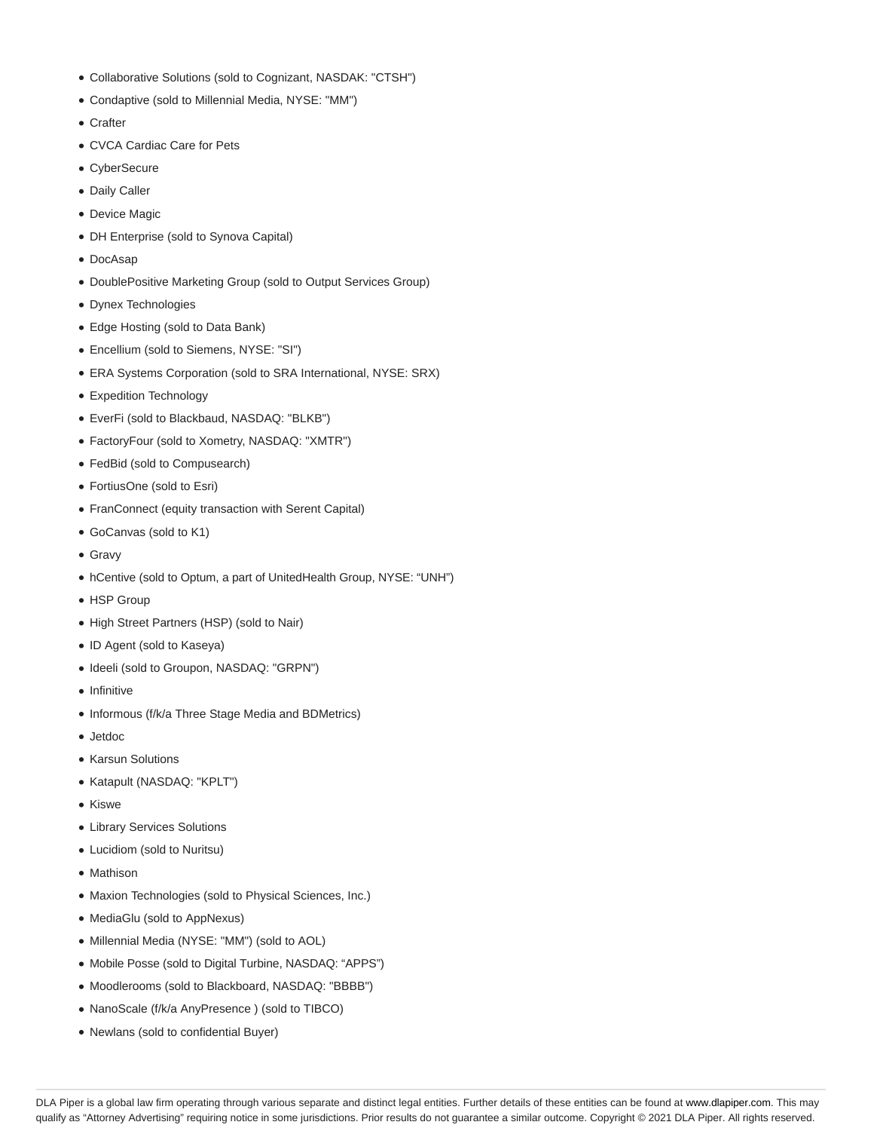- Collaborative Solutions (sold to Cognizant, NASDAK: "CTSH")
- Condaptive (sold to Millennial Media, NYSE: "MM")
- Crafter
- CVCA Cardiac Care for Pets
- CyberSecure
- Daily Caller
- Device Magic
- DH Enterprise (sold to Synova Capital)
- DocAsap
- DoublePositive Marketing Group (sold to Output Services Group)
- Dynex Technologies
- Edge Hosting (sold to Data Bank)
- Encellium (sold to Siemens, NYSE: "SI")
- ERA Systems Corporation (sold to SRA International, NYSE: SRX)
- Expedition Technology
- EverFi (sold to Blackbaud, NASDAQ: "BLKB")
- FactoryFour (sold to Xometry, NASDAQ: "XMTR")
- FedBid (sold to Compusearch)
- FortiusOne (sold to Esri)
- FranConnect (equity transaction with Serent Capital)
- GoCanvas (sold to K1)
- Gravy
- hCentive (sold to Optum, a part of UnitedHealth Group, NYSE: "UNH")
- HSP Group
- High Street Partners (HSP) (sold to Nair)
- ID Agent (sold to Kaseya)
- $\bullet$  Ideeli (sold to Groupon, NASDAQ: "GRPN")
- Infinitive
- Informous (f/k/a Three Stage Media and BDMetrics)
- Jetdoc
- Karsun Solutions
- Katapult (NASDAQ: "KPLT")
- Kiswe
- Library Services Solutions
- Lucidiom (sold to Nuritsu)
- Mathison
- Maxion Technologies (sold to Physical Sciences, Inc.)
- MediaGlu (sold to AppNexus)
- Millennial Media (NYSE: "MM") (sold to AOL)
- Mobile Posse (sold to Digital Turbine, NASDAQ: "APPS")
- Moodlerooms (sold to Blackboard, NASDAQ: "BBBB")
- NanoScale (f/k/a AnyPresence ) (sold to TIBCO)
- Newlans (sold to confidential Buyer)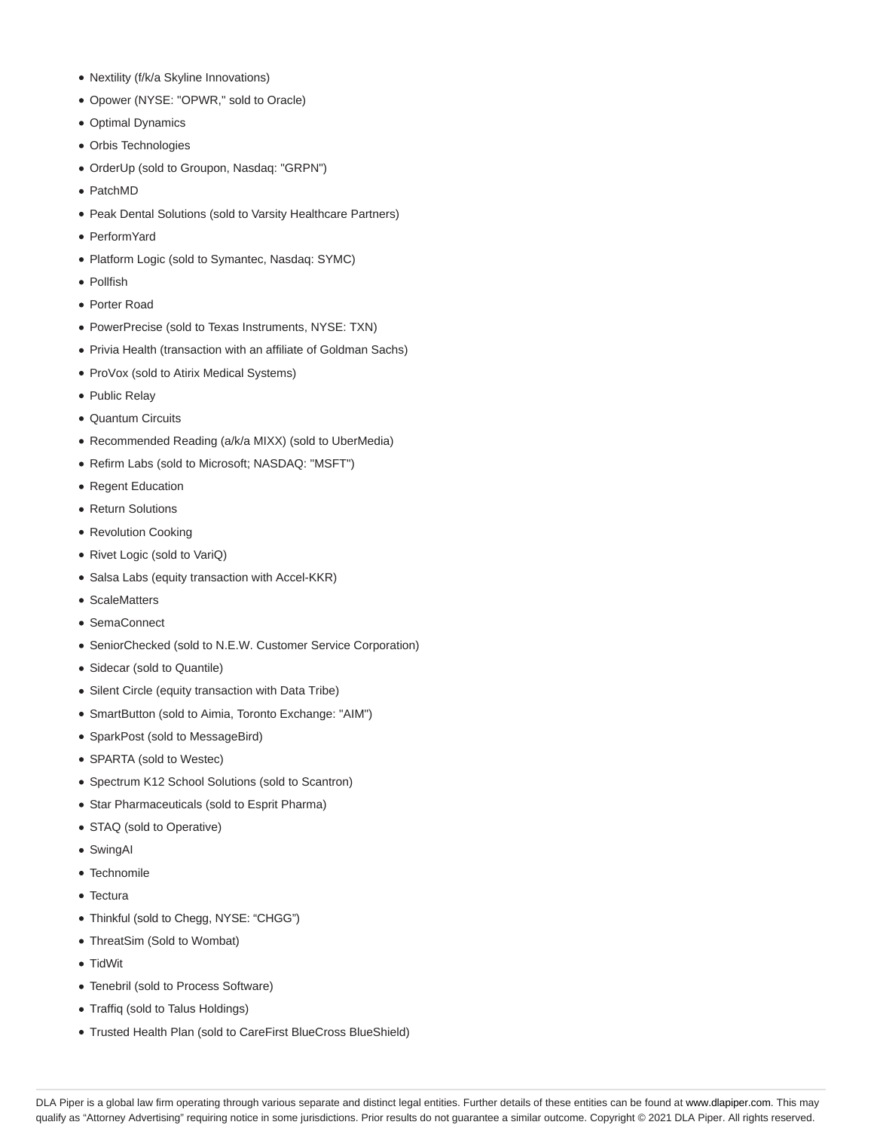- Nextility (f/k/a Skyline Innovations)
- Opower (NYSE: "OPWR," sold to Oracle)
- Optimal Dynamics
- Orbis Technologies
- OrderUp (sold to Groupon, Nasdaq: "GRPN")
- PatchMD
- Peak Dental Solutions (sold to Varsity Healthcare Partners)
- PerformYard
- Platform Logic (sold to Symantec, Nasdaq: SYMC)
- Pollfish
- Porter Road
- PowerPrecise (sold to Texas Instruments, NYSE: TXN)
- Privia Health (transaction with an affiliate of Goldman Sachs)
- ProVox (sold to Atirix Medical Systems)
- Public Relay
- Quantum Circuits
- Recommended Reading (a/k/a MIXX) (sold to UberMedia)
- Refirm Labs (sold to Microsoft; NASDAQ: "MSFT")
- Regent Education
- Return Solutions
- Revolution Cooking
- Rivet Logic (sold to VariQ)
- Salsa Labs (equity transaction with Accel-KKR)
- ScaleMatters
- SemaConnect
- SeniorChecked (sold to N.E.W. Customer Service Corporation)
- Sidecar (sold to Quantile)
- Silent Circle (equity transaction with Data Tribe)
- SmartButton (sold to Aimia, Toronto Exchange: "AIM")
- SparkPost (sold to MessageBird)
- SPARTA (sold to Westec)
- Spectrum K12 School Solutions (sold to Scantron)
- Star Pharmaceuticals (sold to Esprit Pharma)
- STAQ (sold to Operative)
- SwingAI
- Technomile
- Tectura
- Thinkful (sold to Chegg, NYSE: "CHGG")
- ThreatSim (Sold to Wombat)
- TidWit
- Tenebril (sold to Process Software)
- Traffiq (sold to Talus Holdings)
- Trusted Health Plan (sold to CareFirst BlueCross BlueShield)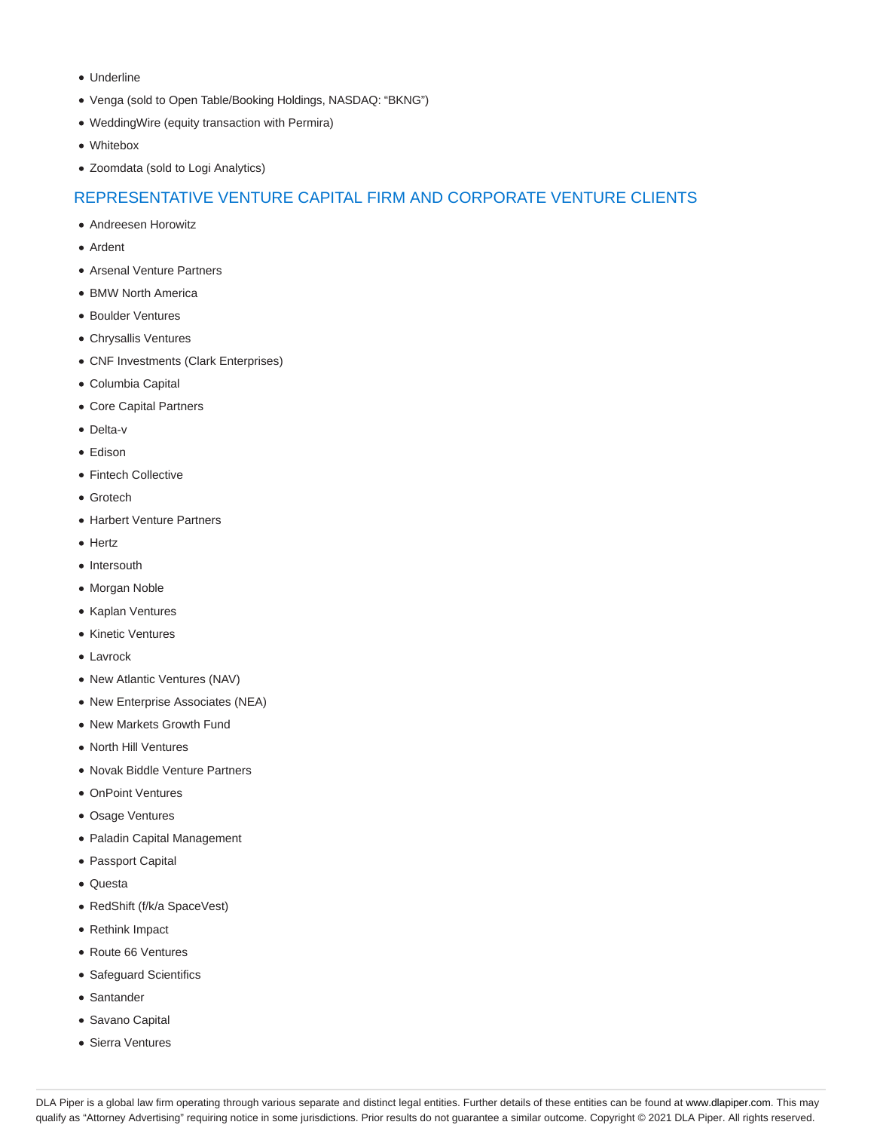- Underline
- Venga (sold to Open Table/Booking Holdings, NASDAQ: "BKNG")
- WeddingWire (equity transaction with Permira)
- Whitebox
- Zoomdata (sold to Logi Analytics)

## REPRESENTATIVE VENTURE CAPITAL FIRM AND CORPORATE VENTURE CLIENTS

- Andreesen Horowitz
- Ardent
- Arsenal Venture Partners
- BMW North America
- Boulder Ventures
- Chrysallis Ventures
- CNF Investments (Clark Enterprises)
- Columbia Capital
- Core Capital Partners
- Delta-v
- Edison
- Fintech Collective
- Grotech
- Harbert Venture Partners
- Hertz
- Intersouth
- Morgan Noble
- Kaplan Ventures
- Kinetic Ventures
- Lavrock
- New Atlantic Ventures (NAV)
- New Enterprise Associates (NEA)
- New Markets Growth Fund
- North Hill Ventures
- Novak Biddle Venture Partners
- OnPoint Ventures
- Osage Ventures
- Paladin Capital Management
- Passport Capital
- Questa
- RedShift (f/k/a SpaceVest)
- Rethink Impact
- Route 66 Ventures
- Safeguard Scientifics
- Santander
- Savano Capital
- Sierra Ventures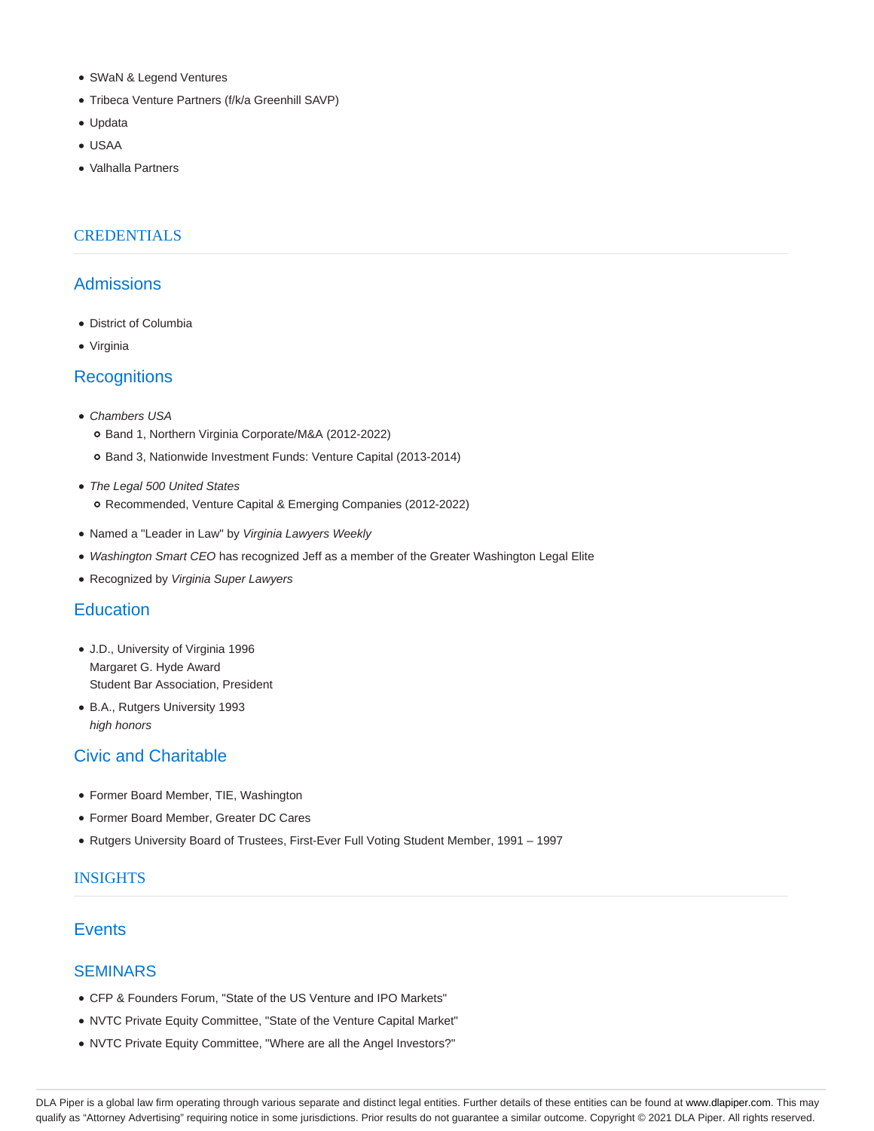- SWaN & Legend Ventures
- Tribeca Venture Partners (f/k/a Greenhill SAVP)
- Updata
- USAA
- Valhalla Partners

# **CREDENTIALS**

#### Admissions

- District of Columbia
- Virginia

# **Recognitions**

- Chambers USA
	- o Band 1, Northern Virginia Corporate/M&A (2012-2022)
	- o Band 3, Nationwide Investment Funds: Venture Capital (2013-2014)
- The Legal 500 United States o Recommended, Venture Capital & Emerging Companies (2012-2022)
- Named a "Leader in Law" by Virginia Lawyers Weekly
- Washington Smart CEO has recognized Jeff as a member of the Greater Washington Legal Elite
- Recognized by Virginia Super Lawyers

## **Education**

- J.D., University of Virginia 1996 Margaret G. Hyde Award Student Bar Association, President
- B.A., Rutgers University 1993 high honors

# Civic and Charitable

- Former Board Member, TIE, Washington
- Former Board Member, Greater DC Cares
- Rutgers University Board of Trustees, First-Ever Full Voting Student Member, 1991 1997

#### INSIGHTS

#### **Events**

#### **SEMINARS**

- CFP & Founders Forum, "State of the US Venture and IPO Markets"
- NVTC Private Equity Committee, "State of the Venture Capital Market"
- NVTC Private Equity Committee, "Where are all the Angel Investors?"